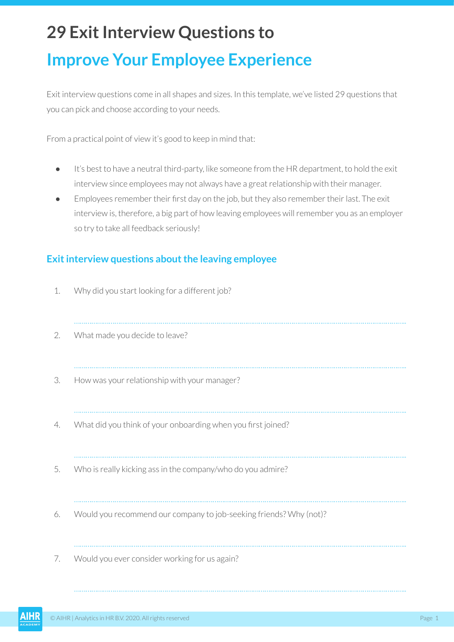# **29 Exit Interview Questions to Improve Your Employee Experience**

Exit interview questions come in all shapes and sizes. In this template, we've listed 29 questions that you can pick and choose according to your needs.

From a practical point of view it's good to keep in mind that:

- It's best to have a neutral third-party, like someone from the HR department, to hold the exit interview since employees may not always have a great relationship with their manager.
- Employees remember their first day on the job, but they also remember their last. The exit interview is, therefore, a big part of how leaving employees will remember you as an employer so try to take all feedback seriously!

#### **Exit interview questions about the leaving employee**

- 1. Why did you start looking for a different job?
- ……………………………………………………………………………………………………………………………………………………….. 2. What made you decide to leave? ……………………………………………………………………………………………………………………………………………………….. 3. How was your relationship with your manager? ……………………………………………………………………………………………………………………………………………………….. 4. What did you think of your onboarding when you first joined? ……………………………………………………………………………………………………………………………………………………….. 5. Who is really kicking ass in the company/who do you admire? ……………………………………………………………………………………………………………………………………………………….. 6. Would you recommend our company to job-seeking friends? Why (not)? ……………………………………………………………………………………………………………………………………………………….. 7. Would you ever consider working for us again?

………………………………………………………………………………………………………………………………………………………..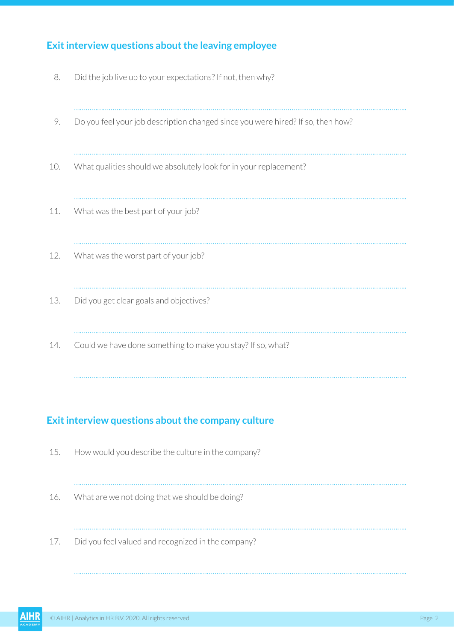## **Exit interview questions about the leaving employee**

| 8.  | Did the job live up to your expectations? If not, then why?                     |
|-----|---------------------------------------------------------------------------------|
| 9.  | Do you feel your job description changed since you were hired? If so, then how? |
| 10. | What qualities should we absolutely look for in your replacement?               |
| 11. | What was the best part of your job?                                             |
| 12. | What was the worst part of your job?                                            |
| 13. | Did you get clear goals and objectives?                                         |
| 14. | Could we have done something to make you stay? If so, what?                     |

## **Exit interview questions about the company culture**

| 15. | How would you describe the culture in the company? |
|-----|----------------------------------------------------|
| 16. | What are we not doing that we should be doing?     |
| 17. | Did you feel valued and recognized in the company? |

………………………………………………………………………………………………………………………………………………………..

………………………………………………………………………………………………………………………………………………………..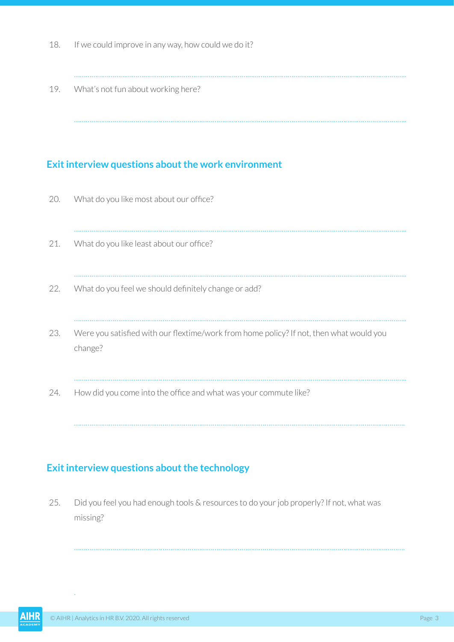- 18. If we could improve in any way, how could we do it?
	- ………………………………………………………………………………………………………………………………………………………..

………………………………………………………………………………………………………………………………………………………..

19. What's not fun about working here?

#### **Exit interview questions about the work environment**

| 20. | What do you like most about our office?                                                            |
|-----|----------------------------------------------------------------------------------------------------|
| 21. | What do you like least about our office?                                                           |
| 22. | What do you feel we should definitely change or add?                                               |
| 23. | Were you satisfied with our flextime/work from home policy? If not, then what would you<br>change? |
| 24. | How did you come into the office and what was your commute like?                                   |

……………………………………………………………………………………………………………………………………………………….

……………………………………………………………………………………………………………………………………………………….

### **Exit interview questions about the technology**

25. Did you feel you had enough tools & resources to do your job properly? If not, what was missing?

. $\mathcal{L}$